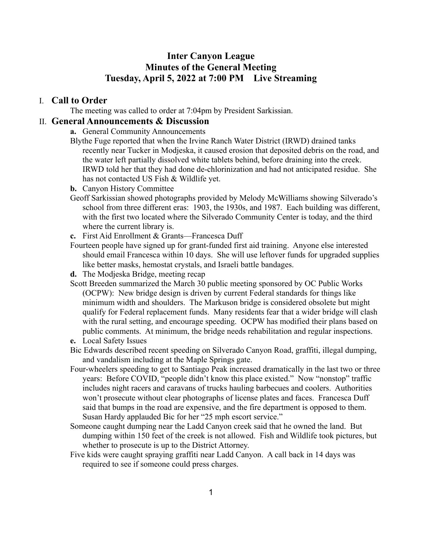## **Inter Canyon League Minutes of the General Meeting Tuesday, April 5, 2022 at 7:00 PM Live Streaming**

#### I. **Call to Order**

The meeting was called to order at 7:04pm by President Sarkissian.

#### II. **General Announcements & Discussion**

- **a.** General Community Announcements
- Blythe Fuge reported that when the Irvine Ranch Water District (IRWD) drained tanks recently near Tucker in Modjeska, it caused erosion that deposited debris on the road, and the water left partially dissolved white tablets behind, before draining into the creek. IRWD told her that they had done de-chlorinization and had not anticipated residue. She has not contacted US Fish & Wildlife yet.
- **b.** Canyon History Committee
- Geoff Sarkissian showed photographs provided by Melody McWilliams showing Silverado's school from three different eras: 1903, the 1930s, and 1987. Each building was different, with the first two located where the Silverado Community Center is today, and the third where the current library is.
- **c.** First Aid Enrollment & Grants—Francesca Duff
- Fourteen people have signed up for grant-funded first aid training. Anyone else interested should email Francesca within 10 days. She will use leftover funds for upgraded supplies like better masks, hemostat crystals, and Israeli battle bandages.
- **d.** The Modjeska Bridge, meeting recap
- Scott Breeden summarized the March 30 public meeting sponsored by OC Public Works (OCPW): New bridge design is driven by current Federal standards for things like minimum width and shoulders. The Markuson bridge is considered obsolete but might qualify for Federal replacement funds. Many residents fear that a wider bridge will clash with the rural setting, and encourage speeding. OCPW has modified their plans based on public comments. At minimum, the bridge needs rehabilitation and regular inspections.
- **e.** Local Safety Issues
- Bic Edwards described recent speeding on Silverado Canyon Road, graffiti, illegal dumping, and vandalism including at the Maple Springs gate.
- Four-wheelers speeding to get to Santiago Peak increased dramatically in the last two or three years: Before COVID, "people didn't know this place existed." Now "nonstop" traffic includes night racers and caravans of trucks hauling barbecues and coolers. Authorities won't prosecute without clear photographs of license plates and faces. Francesca Duff said that bumps in the road are expensive, and the fire department is opposed to them. Susan Hardy applauded Bic for her "25 mph escort service."
- Someone caught dumping near the Ladd Canyon creek said that he owned the land. But dumping within 150 feet of the creek is not allowed. Fish and Wildlife took pictures, but whether to prosecute is up to the District Attorney.
- Five kids were caught spraying graffiti near Ladd Canyon. A call back in 14 days was required to see if someone could press charges.